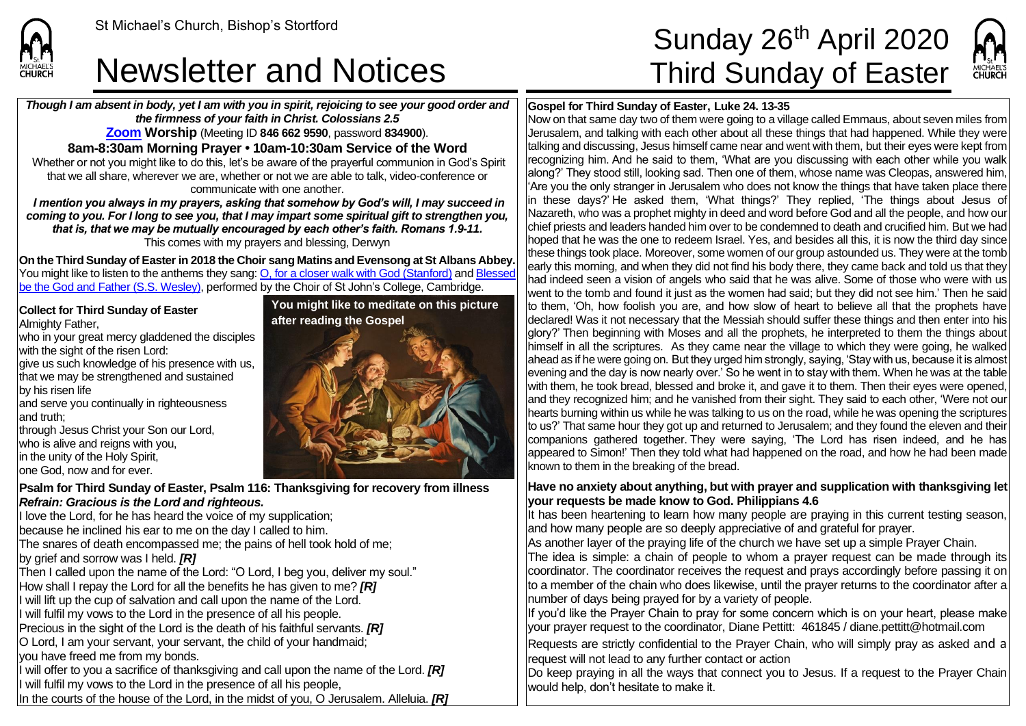# Newsletter and Notices Third Sunday of Easter

*Though I am absent in body, yet I am with you in spirit, rejoicing to see your good order and the firmness of your faith in Christ. Colossians 2.5* **[Zoom](https://zoom.us/) Worship** (Meeting ID **846 662 9590**, password **834900**).

**8am-8:30am Morning Prayer • 10am-10:30am Service of the Word** Whether or not you might like to do this, let's be aware of the prayerful communion in God's Spirit that we all share, wherever we are, whether or not we are able to talk, video-conference or communicate with one another.

*I mention you always in my prayers, asking that somehow by God's will, I may succeed in coming to you. For I long to see you, that I may impart some spiritual gift to strengthen you, that is, that we may be mutually encouraged by each other's faith. Romans 1.9-11.* This comes with my prayers and blessing, Derwyn

**On the Third Sunday of Easter in 2018 the Choir sang Matins and Evensong at St Albans Abbey.** You might like to listen to the anthems they sang[: O, for a closer walk with God \(Stanford\)](https://www.youtube.com/watch?v=vqhiZQ0tu1g) and Bless [be the God and Father \(S.S. Wesley\),](https://www.youtube.com/watch?v=eQu9iw-do_A) performed by the Choir of St John's College, Cambridge.

## **Collect for Third Sunday of Easter**

Almighty Father.

**CHURCH** 

who in your great mercy gladdened the disciples with the sight of the risen Lord: laive us such knowledge of his presence with us, that we may be strengthened and sustained by his risen life and serve you continually in righteousness and truth; through Jesus Christ your Son our Lord, who is alive and reigns with you. In the unity of the Holy Spirit, one God, now and for ever.

# **Psalm for Third Sunday of Easter, Psalm 116: Thanksgiving for recovery from illness**

### *Refrain: Gracious is the Lord and righteous.*

I love the Lord, for he has heard the voice of my supplication; because he inclined his ear to me on the day I called to him. The snares of death encompassed me; the pains of hell took hold of me; by grief and sorrow was I held. *[R]* Then I called upon the name of the Lord: "O Lord, I beg you, deliver my soul." How shall I repay the Lord for all the benefits he has given to me? *[R]* I will lift up the cup of salvation and call upon the name of the Lord. If will fulfil my vows to the Lord in the presence of all his people. Precious in the sight of the Lord is the death of his faithful servants. *[R]* O Lord, I am your servant, your servant, the child of your handmaid; you have freed me from my bonds. If will offer to you a sacrifice of thanksgiving and call upon the name of the Lord. **[R]** I will fulfil my vows to the Lord in the presence of all his people, In the courts of the house of the Lord, in the midst of you, O Jerusalem. Alleluia. *[R]*

## **You might like to meditate on this picture after reading the Gospel**

# St Michael's Church, Bishop's Stortford **Sunday 26<sup>th</sup> April 2020**

#### **Gospel for Third Sunday of Easter, Luke 24. 13-35**

Now on that same day two of them were going to a village called Emmaus, about seven miles from Jerusalem, and talking with each other about all these things that had happened. While they were talking and discussing, Jesus himself came near and went with them, but their eyes were kept from recognizing him. And he said to them, 'What are you discussing with each other while you walk along?' They stood still, looking sad. Then one of them, whose name was Cleopas, answered him, 'Are you the only stranger in Jerusalem who does not know the things that have taken place there in these days?' He asked them, 'What things?' They replied, 'The things about Jesus of Nazareth, who was a prophet mighty in deed and word before God and all the people, and how our chief priests and leaders handed him over to be condemned to death and crucified him. But we had hoped that he was the one to redeem Israel. Yes, and besides all this, it is now the third day since these things took place. Moreover, some women of our group astounded us. They were at the tomb early this morning, and when they did not find his body there, they came back and told us that they had indeed seen a vision of angels who said that he was alive. Some of those who were with us went to the tomb and found it just as the women had said; but they did not see him.' Then he said to them, 'Oh, how foolish you are, and how slow of heart to believe all that the prophets have declared! Was it not necessary that the Messiah should suffer these things and then enter into his glory?' Then beginning with Moses and all the prophets, he interpreted to them the things about himself in all the scriptures. As they came near the village to which they were going, he walked ahead as if he were going on. But they urged him strongly, saying, 'Stay with us, because it is almost evening and the day is now nearly over.' So he went in to stay with them. When he was at the table with them, he took bread, blessed and broke it, and gave it to them. Then their eyes were opened, and they recognized him; and he vanished from their sight. They said to each other, 'Were not our hearts burning within us while he was talking to us on the road, while he was opening the scriptures to us?' That same hour they got up and returned to Jerusalem; and they found the eleven and their companions gathered together. They were saying, 'The Lord has risen indeed, and he has appeared to Simon!' Then they told what had happened on the road, and how he had been made known to them in the breaking of the bread.

#### **Have no anxiety about anything, but with prayer and supplication with thanksgiving let your requests be made know to God. Philippians 4.6**

It has been heartening to learn how many people are praying in this current testing season, and how many people are so deeply appreciative of and grateful for prayer.

As another layer of the praying life of the church we have set up a simple Prayer Chain.

The idea is simple: a chain of people to whom a prayer request can be made through its coordinator. The coordinator receives the request and prays accordingly before passing it on to a member of the chain who does likewise, until the prayer returns to the coordinator after a number of days being prayed for by a variety of people.

If you'd like the Prayer Chain to pray for some concern which is on your heart, please make your prayer request to the coordinator, Diane Pettitt: 461845 / diane.pettitt@hotmail.com

Requests are strictly confidential to the Prayer Chain, who will simply pray as asked and a request will not lead to any further contact or action

Do keep praying in all the ways that connect you to Jesus. If a request to the Prayer Chain would help, don't hesitate to make it.